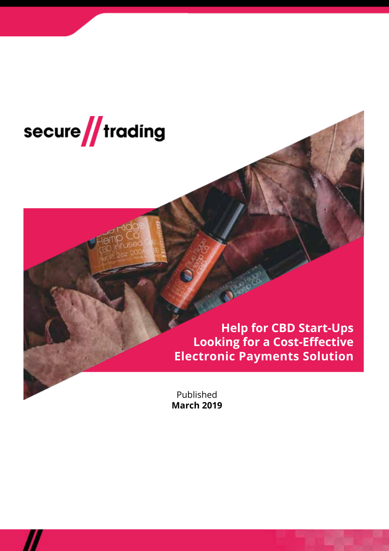

**Help for CBD Start-Ups Looking for a Cost-Effective Electronic Payments Solution**

Published **March 2019**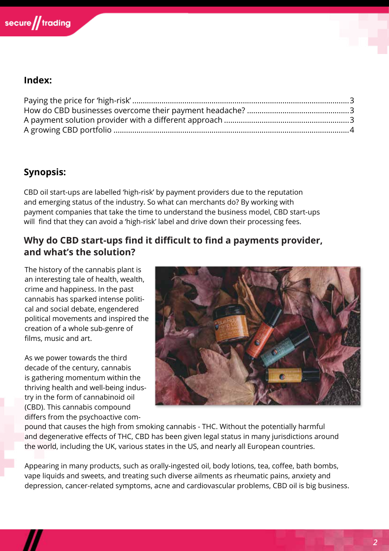

## **Index:**

# **Synopsis:**

CBD oil start-ups are labelled 'high-risk' by payment providers due to the reputation and emerging status of the industry. So what can merchants do? By working with payment companies that take the time to understand the business model, CBD start-ups will find that they can avoid a 'high-risk' label and drive down their processing fees.

### **Why do CBD start-ups find it difficult to find a payments provider, and what's the solution?**

The history of the cannabis plant is an interesting tale of health, wealth, crime and happiness. In the past cannabis has sparked intense political and social debate, engendered political movements and inspired the creation of a whole sub-genre of films, music and art.

As we power towards the third decade of the century, cannabis is gathering momentum within the thriving health and well-being industry in the form of cannabinoid oil (CBD). This cannabis compound differs from the psychoactive com-



pound that causes the high from smoking cannabis - THC. Without the potentially harmful and degenerative effects of THC, CBD has been given legal status in many jurisdictions around the world, including the UK, various states in the US, and nearly all European countries.

Appearing in many products, such as orally-ingested oil, body lotions, tea, coffee, bath bombs, vape liquids and sweets, and treating such diverse ailments as rheumatic pains, anxiety and depression, cancer-related symptoms, acne and cardiovascular problems, CBD oil is big business.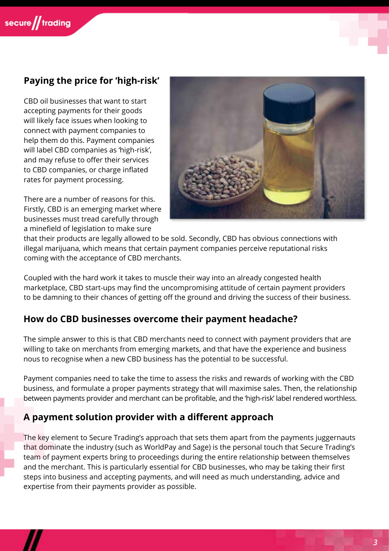# **Paying the price for 'high-risk'**

CBD oil businesses that want to start accepting payments for their goods will likely face issues when looking to connect with payment companies to help them do this. Payment companies will label CBD companies as 'high-risk', and may refuse to offer their services to CBD companies, or charge inflated rates for payment processing.

There are a number of reasons for this. Firstly, CBD is an emerging market where businesses must tread carefully through a minefield of legislation to make sure



that their products are legally allowed to be sold. Secondly, CBD has obvious connections with illegal marijuana, which means that certain payment companies perceive reputational risks coming with the acceptance of CBD merchants.

Coupled with the hard work it takes to muscle their way into an already congested health marketplace, CBD start-ups may find the uncompromising attitude of certain payment providers to be damning to their chances of getting off the ground and driving the success of their business.

#### **How do CBD businesses overcome their payment headache?**

The simple answer to this is that CBD merchants need to connect with payment providers that are willing to take on merchants from emerging markets, and that have the experience and business nous to recognise when a new CBD business has the potential to be successful.

Payment companies need to take the time to assess the risks and rewards of working with the CBD business, and formulate a proper payments strategy that will maximise sales. Then, the relationship between payments provider and merchant can be profitable, and the 'high-risk' label rendered worthless.

#### **A payment solution provider with a different approach**

The key element to Secure Trading's approach that sets them apart from the payments juggernauts that dominate the industry (such as WorldPay and Sage) is the personal touch that Secure Trading's team of payment experts bring to proceedings during the entire relationship between themselves and the merchant. This is particularly essential for CBD businesses, who may be taking their first steps into business and accepting payments, and will need as much understanding, advice and expertise from their payments provider as possible.